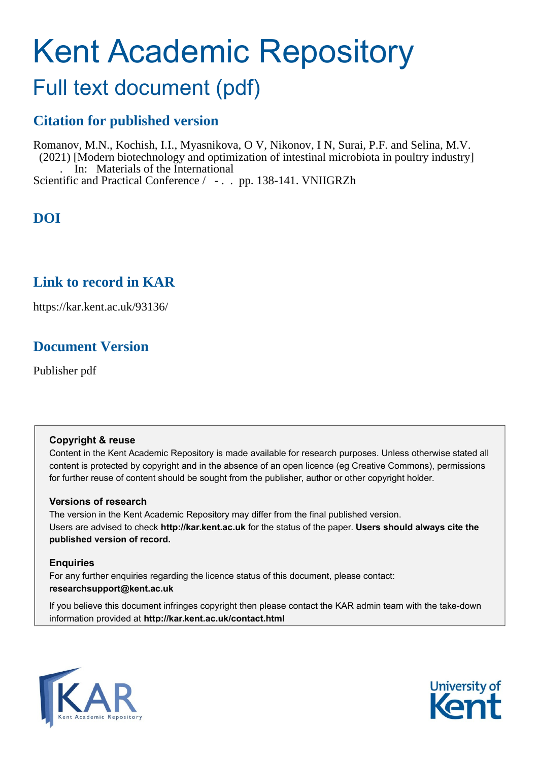# Kent Academic Repository

# Full text document (pdf)

## **Citation for published version**

Romanov, M.N., Kochish, I.I., Myasnikova, O V, Nikonov, I N, Surai, P.F. and Selina, M.V. (2021) [Modern biotechnology and optimization of intestinal microbiota in poultry industry] . In: Materials of the International Scientific and Practical Conference / - . . pp. 138-141. VNIIGRZh

## **DOI**

### **Link to record in KAR**

https://kar.kent.ac.uk/93136/

### **Document Version**

Publisher pdf

### **Copyright & reuse**

Content in the Kent Academic Repository is made available for research purposes. Unless otherwise stated all content is protected by copyright and in the absence of an open licence (eg Creative Commons), permissions for further reuse of content should be sought from the publisher, author or other copyright holder.

### **Versions of research**

The version in the Kent Academic Repository may differ from the final published version. Users are advised to check **http://kar.kent.ac.uk** for the status of the paper. **Users should always cite the published version of record.**

### **Enquiries**

For any further enquiries regarding the licence status of this document, please contact: **researchsupport@kent.ac.uk**

If you believe this document infringes copyright then please contact the KAR admin team with the take-down information provided at **http://kar.kent.ac.uk/contact.html**



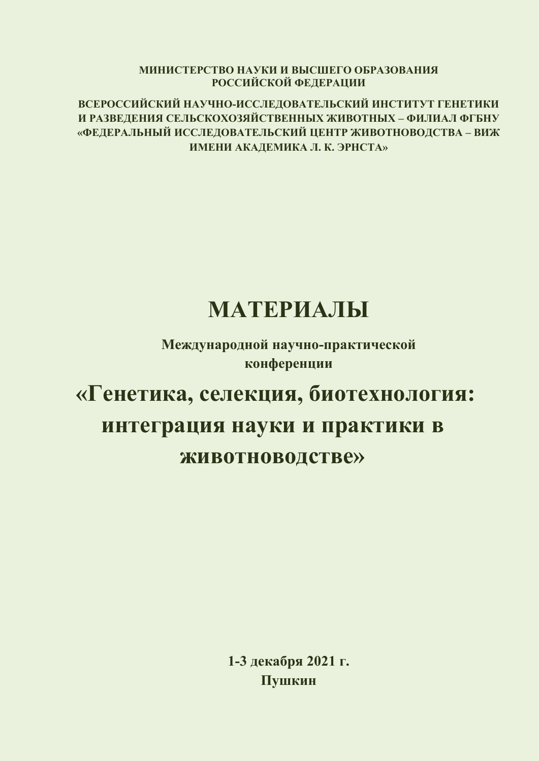**МИНИСТЕРСТВО НАУКИ И ВɕСɒЕГО ОБРАЗОВАНИə РОССИЙСКОЙ ФЕДЕРАЦИИ**

ВСЕРОССИЙСКИЙ НАУЧНО-ИССЛЕДОВАТЕЛЬСКИЙ ИНСТИТУТ ГЕНЕТИКИ **И РАЗВЕДЕНИə СЕЛɖСКОХОЗəЙСТВЕННɕХ ЖИВОТНɕХ – ФИЛИАЛ ФГБНУ «ФЕДЕРАЛɖНɕЙ ИССЛЕДОВАТЕЛɖСКИЙ ЦЕНТР ЖИВОТНОВОДСТВА – ВИЖ ИМЕНИ АКАДЕМИКА Л. К. ɗРНСТА»**

# **МАТЕРИАЛЫ**

Международной научно-практической **конференции** 

# «Генетика, селекция, биотехнология: интеграция науки и практики в ЖИВОТНОВОДСТВЕ»

1-3 декабря 2021 г. П**ушкин**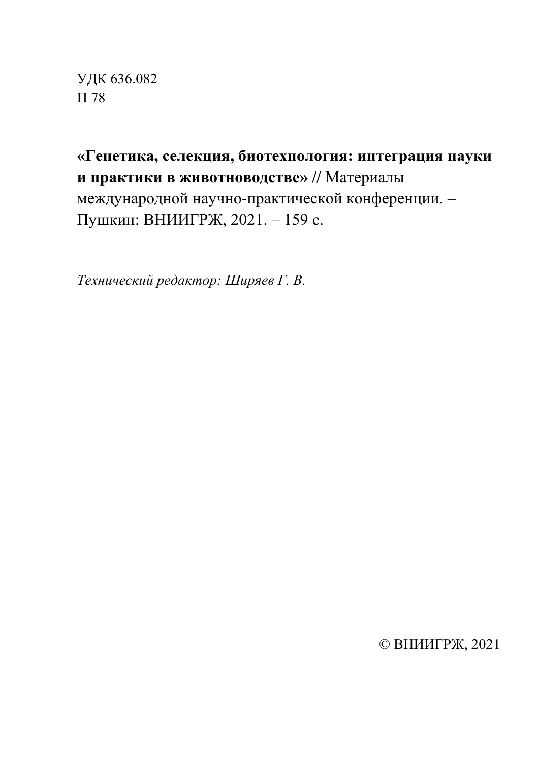УДК 636.082 П 78

«Генетика, селекция, биотехнология: интеграция науки и практики в животноводстве» // Материалы международной научно-практической конференции. -Пушкин: ВНИИГРЖ, 2021. - 159 с.

Гехнический редактор: Ширяев Г. В.

© ВНИИГРЖ, 2021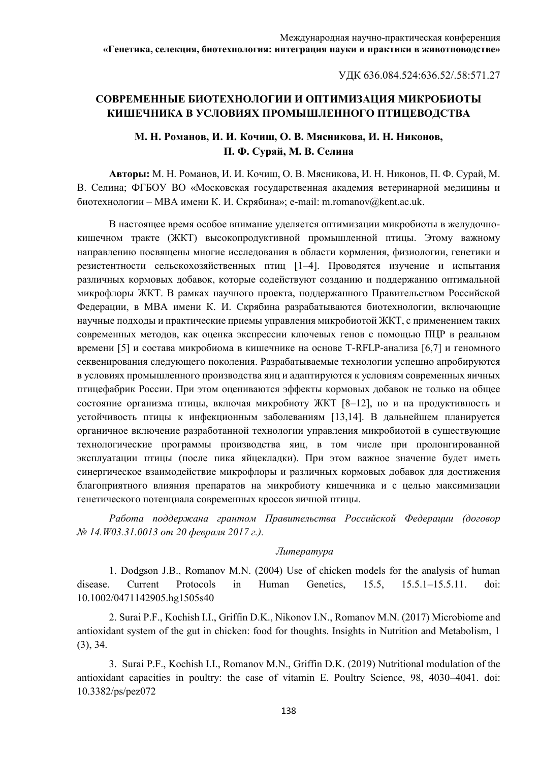ɍȾɄ 636.084.524:636.52/.58:571.27

### СОВРЕМЕННЫЕ БИОТЕХНОЛОГИИ И ОПТИМИЗАЦИЯ МИКРОБИОТЫ КИШЕЧНИКА В УСЛОВИЯХ ПРОМЫШЛЕННОГО ПТИЦЕВОДСТВА

### М. Н. Романов, И. И. Кочиш, О. В. Мясникова, И. Н. Никонов, П. Ф. Сурай, М. В. Селина

**Авторы:** М. Н. Романов, И. И. Кочиш, О. В. Мясникова, И. Н. Никонов, П. Ф. Сурай, М. В. Селина; ФГБОУ ВО «Московская государственная академия ветеринарной медицины и биотехнологии – MBA имени К. И. Скрябина»; e-mail: m.romanov@kent.ac.uk.

В настоящее время особое внимание уделяется оптимизации микробиоты в желудочнокишечном тракте (ЖКТ) высокопродуктивной промышленной птицы. Этому важному направлению посвящены многие исследования в области кормления, физиологии, генетики и резистентности сельскохозяйственных птиц [1–4]. Проводятся изучение и испытания различных кормовых добавок, которые содействуют созданию и поддержанию оптимальной микрофлоры ЖКТ. В рамках научного проекта, поддержанного Правительством Российской Федерации, в МВА имени К. И. Скрябина разрабатываются биотехнологии, включающие научные подходы и практические приемы управления микробиотой ЖКТ, с применением таких современных методов, как оценка экспрессии ключевых генов с помощью ПЦР в реальном времени [5] и состава микробиома в кишечнике на основе Т-RFLP-анализа [6,7] и геномного секвенирования следующего поколения. Разрабатываемые технологии успешно апробируются в условиях промышленного производства яиц и адаптируются к условиям современных яичных птицефабрик России. При этом оцениваются эффекты кормовых добавок не только на общее состояние организма птицы, включая микробиоту ЖКТ [8–12], но и на продуктивность и устойчивость птицы к инфекционным заболеваниям [13,14]. В дальнейшем планируется органичное включение разработанной технологии управления микробиотой в существующие технологические программы производства яиц, в том числе при пролонгированной эксплуатации птицы (после пика яйцекладки). При этом важное значение будет иметь синергическое взаимодействие микрофлоры и различных кормовых добавок для достижения благоприятного влияния препаратов на микробиоту кишечника и с целью максимизации генетического потенциала современных кроссов яичной птицы.

Работа поддержана грантом Правительства Российской Федерации (договор *№ 14.W03.31.0013 om 20 февраля 2017 г.).* 

#### $J$ *lumepamypa*

1. Dodgson J.B., Romanov M.N. (2004) Use of chicken models for the analysis of human disease. Current Protocols in Human Genetics, 15.5, 15.5.1–15.5.11. doi: 10.1002/0471142905.hg1505s40

2. Surai P.F., Kochish I.I., Griffin D.K., Nikonov I.N., Romanov M.N. (2017) Microbiome and antioxidant system of the gut in chicken: food for thoughts. Insights in Nutrition and Metabolism, 1 (3), 34.

3. Surai P.F., Kochish I.I., Romanov M.N., Griffin D.K. (2019) Nutritional modulation of the antioxidant capacities in poultry: the case of vitamin E. Poultry Science, 98, 4030–4041. doi: 10.3382/ps/pez072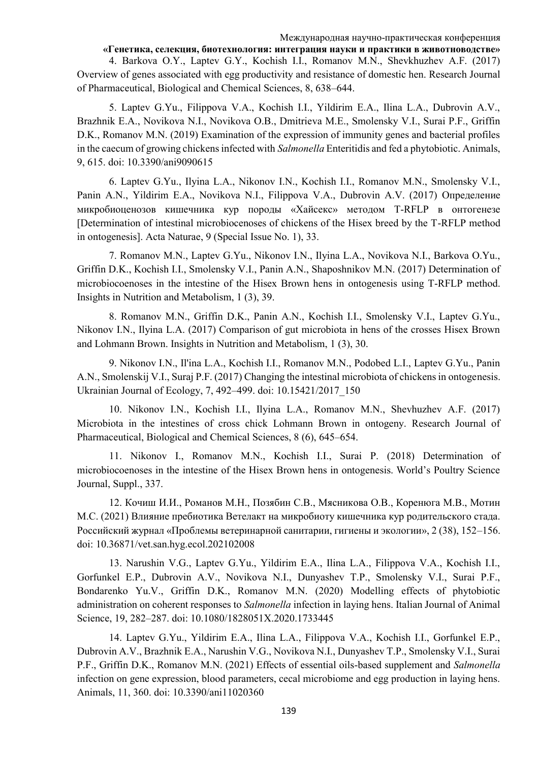#### Международная научно-практическая конференция

«Генетика, селекция, биотехнология: интеграция науки и практики в животноводстве» 4. Barkova O.Y., Laptev G.Y., Kochish I.I., Romanov M.N., Shevkhuzhev A.F. (2017) Overview of genes associated with egg productivity and resistance of domestic hen. Research Journal of Pharmaceutical, Biological and Chemical Sciences, 8, 638–644.

5. Laptev G.Yu., Filippova V.A., Kochish I.I., Yildirim E.A., Ilina L.A., Dubrovin A.V., Brazhnik E.A., Novikova N.I., Novikova O.B., Dmitrieva M.E., Smolensky V.I., Surai P.F., Griffin D.K., Romanov M.N. (2019) Examination of the expression of immunity genes and bacterial profiles in the caecum of growing chickens infected with *Salmonella* Enteritidis and fed a phytobiotic. Animals, 9, 615. doi: 10.3390/ani9090615

6. Laptev G.Yu., Ilyina L.A., Nikonov I.N., Kochish I.I., Romanov M.N., Smolensky V.I., Panin A.N., Yildirim E.A., Novikova N.I., Filippova V.A., Dubrovin A.V. (2017) Определение микробиоценозов кишечника кур породы «Хайсекс» методом T-RFLP в онтогенезе [Determination of intestinal microbiocenoses of chickens of the Hisex breed by the T-RFLP method in ontogenesis]. Acta Naturae, 9 (Special Issue No. 1), 33.

7. Romanov M.N., Laptev G.Yu., Nikonov I.N., Ilyina L.A., Novikova N.I., Barkova O.Yu., Griffin D.K., Kochish I.I., Smolensky V.I., Panin A.N., Shaposhnikov M.N. (2017) Determination of microbiocoenoses in the intestine of the Hisex Brown hens in ontogenesis using T-RFLP method. Insights in Nutrition and Metabolism, 1 (3), 39.

8. Romanov M.N., Griffin D.K., Panin A.N., Kochish I.I., Smolensky V.I., Laptev G.Yu., Nikonov I.N., Ilyina L.A. (2017) Comparison of gut microbiota in hens of the crosses Hisex Brown and Lohmann Brown. Insights in Nutrition and Metabolism, 1 (3), 30.

9. Nikonov I.N., Il'ina L.A., Kochish I.I., Romanov M.N., Podobed L.I., Laptev G.Yu., Panin A.N., Smolenskij V.I., Suraj P.F. (2017) Changing the intestinal microbiota of chickens in ontogenesis. Ukrainian Journal of Ecology, 7, 492–499. doi: 10.15421/2017\_150

10. Nikonov I.N., Kochish I.I., Ilyina L.A., Romanov M.N., Shevhuzhev A.F. (2017) Microbiota in the intestines of cross chick Lohmann Brown in ontogeny. Research Journal of Pharmaceutical, Biological and Chemical Sciences, 8 (6), 645–654.

11. Nikonov I., Romanov M.N., Kochish I.I., Surai P. (2018) Determination of microbiocoenoses in the intestine of the Hisex Brown hens in ontogenesis. World's Poultry Science Journal, Suppl., 337.

12. Кочиш И.И., Романов М.Н., Позябин С.В., Мясникова О.В., Коренюга М.В., Мотин М.С. (2021) Влияние пребиотика Ветелакт на микробиоту кишечника кур родительского стада. Российский журнал «Проблемы ветеринарной санитарии, гигиены и экологии», 2 (38), 152–156. doi: 10.36871/vet.san.hyg.ecol.202102008

13. Narushin V.G., Laptev G.Yu., Yildirim E.A., Ilina L.A., Filippova V.A., Kochish I.I., Gorfunkel E.P., Dubrovin A.V., Novikova N.I., Dunyashev T.P., Smolensky V.I., Surai P.F., Bondarenko Yu.V., Griffin D.K., Romanov M.N. (2020) Modelling effects of phytobiotic administration on coherent responses to *Salmonella* infection in laying hens. Italian Journal of Animal Science, 19, 282–287. doi: 10.1080/1828051X.2020.1733445

14. Laptev G.Yu., Yildirim E.A., Ilina L.A., Filippova V.A., Kochish I.I., Gorfunkel E.P., Dubrovin A.V., Brazhnik E.A., Narushin V.G., Novikova N.I., Dunyashev T.P., Smolensky V.I., Surai P.F., Griffin D.K., Romanov M.N. (2021) Effects of essential oils-based supplement and *Salmonella* infection on gene expression, blood parameters, cecal microbiome and egg production in laying hens. Animals, 11, 360. doi: 10.3390/ani11020360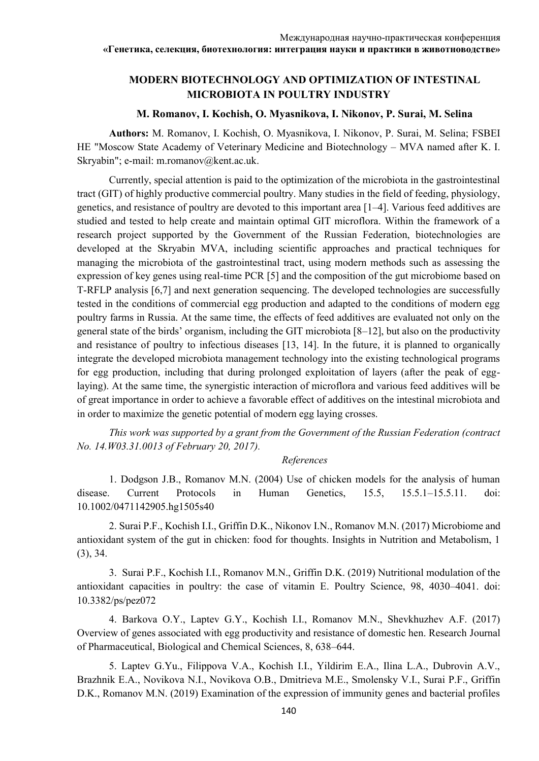### **MODERN BIOTECHNOLOGY AND OPTIMIZATION OF INTESTINAL MICROBIOTA IN POULTRY INDUSTRY**

### **M. Romanov, I. Kochish, O. Myasnikova, I. Nikonov, P. Surai, M. Selina**

**Authors:** M. Romanov, I. Kochish, O. Myasnikova, I. Nikonov, P. Surai, M. Selina; FSBEI HE "Moscow State Academy of Veterinary Medicine and Biotechnology – MVA named after K. I. Skryabin"; e-mail: m.romanov@kent.ac.uk.

Currently, special attention is paid to the optimization of the microbiota in the gastrointestinal tract (GIT) of highly productive commercial poultry. Many studies in the field of feeding, physiology, genetics, and resistance of poultry are devoted to this important area [1–4]. Various feed additives are studied and tested to help create and maintain optimal GIT microflora. Within the framework of a research project supported by the Government of the Russian Federation, biotechnologies are developed at the Skryabin MVA, including scientific approaches and practical techniques for managing the microbiota of the gastrointestinal tract, using modern methods such as assessing the expression of key genes using real-time PCR [5] and the composition of the gut microbiome based on T-RFLP analysis [6,7] and next generation sequencing. The developed technologies are successfully tested in the conditions of commercial egg production and adapted to the conditions of modern egg poultry farms in Russia. At the same time, the effects of feed additives are evaluated not only on the general state of the birds' organism, including the GIT microbiota [8–12], but also on the productivity and resistance of poultry to infectious diseases [13, 14]. In the future, it is planned to organically integrate the developed microbiota management technology into the existing technological programs for egg production, including that during prolonged exploitation of layers (after the peak of egglaying). At the same time, the synergistic interaction of microflora and various feed additives will be of great importance in order to achieve a favorable effect of additives on the intestinal microbiota and in order to maximize the genetic potential of modern egg laying crosses.

*This work was supported by a grant from the Government of the Russian Federation (contract No. 14.W03.31.0013 of February 20, 2017).*

#### *References*

1. Dodgson J.B., Romanov M.N. (2004) Use of chicken models for the analysis of human disease. Current Protocols in Human Genetics, 15.5, 15.5.1–15.5.11. doi: 10.1002/0471142905.hg1505s40

2. Surai P.F., Kochish I.I., Griffin D.K., Nikonov I.N., Romanov M.N. (2017) Microbiome and antioxidant system of the gut in chicken: food for thoughts. Insights in Nutrition and Metabolism, 1 (3), 34.

3. Surai P.F., Kochish I.I., Romanov M.N., Griffin D.K. (2019) Nutritional modulation of the antioxidant capacities in poultry: the case of vitamin E. Poultry Science, 98, 4030–4041. doi: 10.3382/ps/pez072

4. Barkova O.Y., Laptev G.Y., Kochish I.I., Romanov M.N., Shevkhuzhev A.F. (2017) Overview of genes associated with egg productivity and resistance of domestic hen. Research Journal of Pharmaceutical, Biological and Chemical Sciences, 8, 638–644.

5. Laptev G.Yu., Filippova V.A., Kochish I.I., Yildirim E.A., Ilina L.A., Dubrovin A.V., Brazhnik E.A., Novikova N.I., Novikova O.B., Dmitrieva M.E., Smolensky V.I., Surai P.F., Griffin D.K., Romanov M.N. (2019) Examination of the expression of immunity genes and bacterial profiles